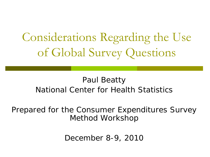Considerations Regarding the Use of Global Survey Questions

#### Paul Beatty National Center for Health Statistics

Prepared for the Consumer Expenditures Survey Method Workshop

December 8-9, 2010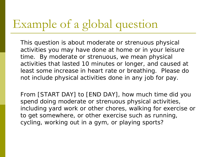### Example of a global question

This question is about moderate or strenuous physical activities you may have done at home or in your leisure time. By moderate or strenuous, we mean physical activities that lasted 10 minutes or longer, and caused at least some increase in heart rate or breathing. Please do not include physical activities done in any job for pay.

From [START DAY] to [END DAY], how much time did you spend doing moderate or strenuous physical activities, including yard work or other chores, walking for exercise or to get somewhere, or other exercise such as running, cycling, working out in a gym, or playing sports?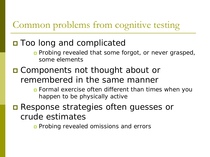#### Common problems from cognitive testing

#### **□** Too long and complicated

- **Probing revealed that some forgot, or never grasped,** some elements
- □ Components not thought about or remembered in the same manner
	- Formal exercise often different than times when you happen to be physically active
- **□ Response strategies often guesses or** crude estimates
	- Pro*bin*g revealed omissions and errors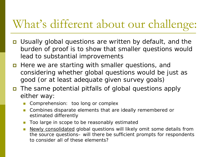### What's different about our challenge:

- Usually global questions are written by default, and the burden of proof is to show that smaller questions would lead to substantial improvements
- **Here we are starting with smaller questions, and** considering whether global questions would be just as good (or at least adequate given survey goals)
- The same *potential* pitfalls of global questions apply either way:
	- Comprehension: too long or complex
	- **Combines disparate elements that are ideally remembered or** estimated differently
	- Too large in scope to be reasonably estimated
	- **Newly consolidated global questions will likely omit some details from** the source questions– will there be sufficient prompts for respondents to consider all of these elements?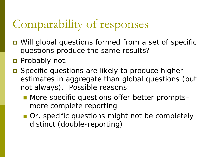## Comparability of responses

- Will global questions formed from a set of specific questions produce the same results?
- **Probably not.**
- Specific questions are *likely* to produce higher estimates in aggregate than global questions (but not always). Possible reasons:
	- More specific questions offer better prompts– more complete reporting
	- **Or, specific questions might not be completely** distinct (double-reporting)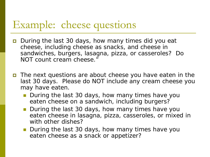### Example: cheese questions

- **D** During the last 30 days, how many times did you eat cheese, including cheese as snacks, and cheese in sandwiches, burgers, lasagna, pizza, or casseroles? Do NOT count cream cheese."
- The next questions are about cheese you have eaten in the last 30 days. Please do NOT include any cream cheese you may have eaten.
	- During the last 30 days, how many times have you eaten cheese on a sandwich, including burgers?
	- During the last 30 days, how many times have you eaten cheese in lasagna, pizza, casseroles, or mixed in with other dishes?
	- During the last 30 days, how many times have you eaten cheese as a snack or appetizer?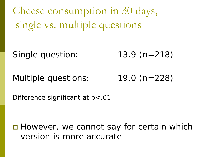Cheese consumption in 30 days, single vs. multiple questions

Single question: 13.9 (n=218)

Multiple questions: 19.0 (n=228)

Difference significant at  $p$ <.01

■ However, we cannot say for certain which version is more accurate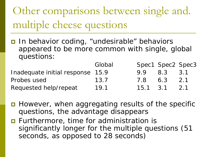Other comparisons between single and. multiple cheese questions

In behavior coding, "undesirable" behaviors appeared to be more common with single, global questions:

|                                  | Global |                  | Spec1 Spec2 Spec3 |        |
|----------------------------------|--------|------------------|-------------------|--------|
| Inadequate initial response 15.9 |        | 99               | 8.3               | $-3.1$ |
| Probes used                      | 13.7   | 7.8              | 6.3               | 2.1    |
| Requested help/repeat            | 19.1   | $15.1 \quad 3.1$ |                   | 2.1    |

- $\blacksquare$  However, when aggregating results of the specific questions, the advantage disappears
- **E** Furthermore, time for administration is significantly longer for the multiple questions (51 seconds, as opposed to 28 seconds)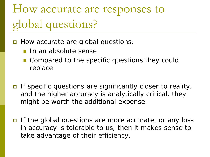# How accurate are responses to global questions?

- **D** How accurate are global questions:
	- In an absolute sense
	- **Compared to the specific questions they could** replace
- If specific questions are significantly closer to reality, and the higher accuracy is analytically critical, they might be worth the additional expense.
- If the global questions are more accurate, or any loss in accuracy is tolerable to us, then it makes sense to take advantage of their efficiency.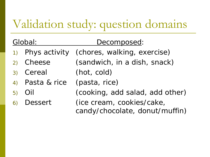## Validation study: question domains

| Global: |                               | Decomposed:                                                 |  |
|---------|-------------------------------|-------------------------------------------------------------|--|
|         |                               | 1) Phys activity (chores, walking, exercise)                |  |
|         | 2) Cheese                     | (sandwich, in a dish, snack)                                |  |
|         | 3) Cereal                     | (hot, cold)                                                 |  |
|         | 4) Pasta & rice (pasta, rice) |                                                             |  |
|         | $5)$ Oil                      | (cooking, add salad, add other)                             |  |
|         | 6) Dessert                    | (ice cream, cookies/cake,<br>candy/chocolate, donut/muffin) |  |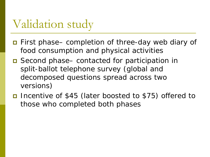### Validation study

- First phase– completion of three-day web diary of food consumption and physical activities
- Second phase– contacted for participation in split-ballot telephone survey (global and decomposed questions spread across two versions)
- Incentive of \$45 (later boosted to \$75) offered to those who completed both phases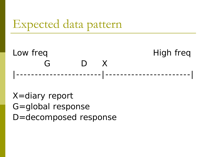### Expected data pattern



X=diary report G=global response D=decomposed response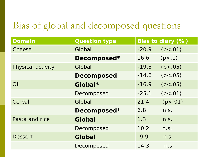#### Bias of global and decomposed questions

| <b>Domain</b>     | <b>Question type</b> | Bias to diary (%) |           |
|-------------------|----------------------|-------------------|-----------|
| Cheese            | Global               | $-20.9$           | (p < .01) |
|                   | Decomposed*          | 16.6              | (p<.1)    |
| Physical activity | Global               | $-19.5$           | (p < .05) |
|                   | <b>Decomposed</b>    | $-14.6$           | (p < .05) |
| Oil               | Global*              | $-16.9$           | (p < .05) |
|                   | Decomposed           | $-25.1$           | (p < .01) |
| Cereal            | Global               | 21.4              | (p < .01) |
|                   | Decomposed*          | 6.8               | n.S.      |
| Pasta and rice    | Global               | 1.3               | n.S.      |
|                   | Decomposed           | 10.2              | n.S.      |
| <b>Dessert</b>    | Global               | $-9.9$            | n.S.      |
|                   | Decomposed           | 14.3              | n.S.      |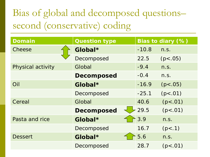### Bias of global and decomposed questions– second (conservative) coding

| <b>Domain</b>     | <b>Question type</b> | Bias to diary (%) |           |
|-------------------|----------------------|-------------------|-----------|
| Cheese            | Global*              | $-10.8$           | n.S.      |
|                   | Decomposed           | 22.5              | (p < .05) |
| Physical activity | Global               | $-9.4$            | n.S.      |
|                   | <b>Decomposed</b>    | $-0.4$            | n.S.      |
| Oil               | Global*              | $-16.9$           | (p < .05) |
|                   | Decomposed           | $-25.1$           | (p < .01) |
| Cereal            | Global               | 40.6              | (p < .01) |
|                   | <b>Decomposed</b>    | 29.5              | (p < .01) |
| Pasta and rice    | Global*              | 3.9               | n.S.      |
|                   | Decomposed           | 16.7              | (p<.1)    |
| <b>Dessert</b>    | Global*              | 5.6               | n.S.      |
|                   | Decomposed           | 28.7              | (p < .01) |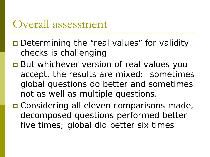### Overall assessment

- **□** Determining the "real values" for validity checks is challenging
- **But whichever version of real values you** accept, the results are mixed: sometimes global questions do better and sometimes not as well as multiple questions.
- **□ Considering all eleven comparisons made,** decomposed questions performed better five times; global did better six times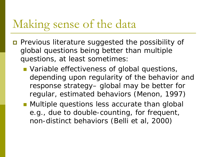### Making sense of the data

- **Previous literature suggested the possibility of** global questions being better than multiple questions, at least sometimes:
	- **Nariable effectiveness of global questions,** depending upon regularity of the behavior and response strategy– global may be better for regular, estimated behaviors (Menon, 1997)
	- **Multiple questions less accurate than global** e.g., due to double-counting, for frequent, non-distinct behaviors (Belli et al, 2000)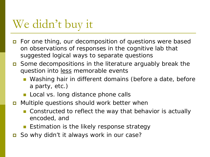### We didn't buy it

- **D** For one thing, our decomposition of questions were based on observations of responses in the cognitive lab that suggested logical ways to separate questions
- **□** Some decompositions in the literature arguably break the question into <u>less</u> memorable events
	- Washing hair in different domains (before a date, before a party, etc.)
	- **Local vs. long distance phone calls**
- Multiple questions *should work better* when
	- Constructed to reflect the way that behavior is actually encoded, and
	- **Estimation is the likely response strategy**
- So why didn't it always work in our case?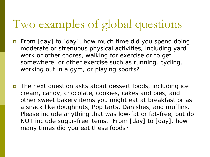## Two examples of global questions

- **E** From [day] to [day], how much time did you spend doing moderate or strenuous physical activities, including yard work or other chores, walking for exercise or to get somewhere, or other exercise such as running, cycling, working out in a gym, or playing sports?
- The next question asks about dessert foods, including ice cream, candy, chocolate, cookies, cakes and pies, and other sweet bakery items you might eat at breakfast or as a snack like doughnuts, Pop tarts, Danishes, and muffins. Please include anything that was low-fat or fat-free, but do NOT include sugar-free items. From [day] to [day], how many times did you eat these foods?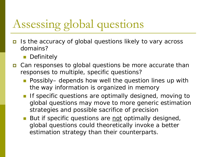# Assessing global questions

- Is the accuracy of global questions likely to vary across domains?
	- **Definitely**
- **□** Can responses to global questions be more accurate than responses to multiple, specific questions?
	- Possibly– depends how well the question lines up with the way information is organized in memory
	- **If specific questions are optimally designed, moving to** global questions may move to more generic estimation strategies and possible sacrifice of precision
	- But if specific questions are not optimally designed, global questions could theoretically invoke a better estimation strategy than their counterparts.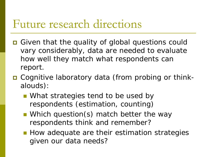### Future research directions

- **O** Given that the quality of global questions could vary considerably, data are needed to evaluate how well they match what respondents can report.
- **□** Cognitive laboratory data (from probing or thinkalouds):
	- **Number 10 Video Strategies tend to be used by** respondents (estimation, counting)
	- **Number** Which question(s) match better the way respondents think and remember?
	- **How adequate are their estimation strategies** given our data needs?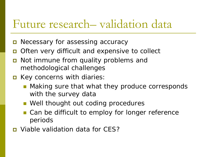### Future research– validation data

- **D** Necessary for assessing accuracy
- **□** Often very difficult and expensive to collect
- Not immune from quality problems and methodological challenges
- **E** Key concerns with diaries:
	- Making sure that what they produce corresponds with the survey data
	- **Nell thought out coding procedures**
	- Can be difficult to employ for longer reference periods
- Viable validation data for CES?